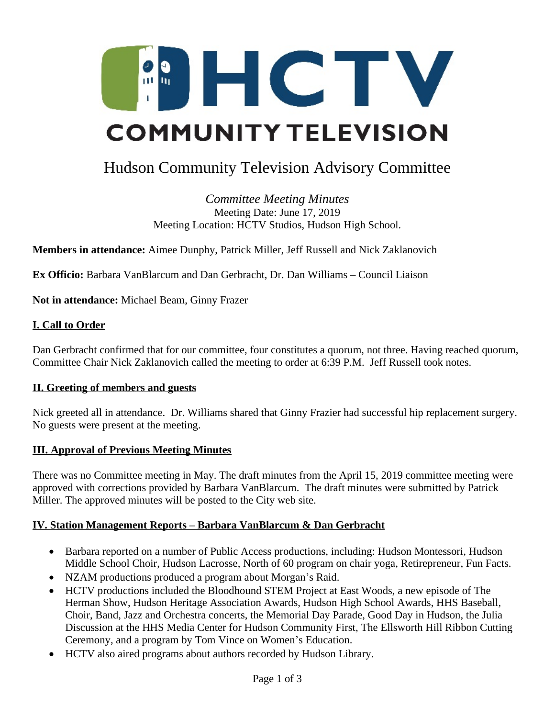

# Hudson Community Television Advisory Committee

*Committee Meeting Minutes* Meeting Date: June 17, 2019 Meeting Location: HCTV Studios, Hudson High School.

**Members in attendance:** Aimee Dunphy, Patrick Miller, Jeff Russell and Nick Zaklanovich

**Ex Officio:** Barbara VanBlarcum and Dan Gerbracht, Dr. Dan Williams – Council Liaison

**Not in attendance:** Michael Beam, Ginny Frazer

#### **I. Call to Order**

Dan Gerbracht confirmed that for our committee, four constitutes a quorum, not three. Having reached quorum, Committee Chair Nick Zaklanovich called the meeting to order at 6:39 P.M. Jeff Russell took notes.

#### **II. Greeting of members and guests**

Nick greeted all in attendance. Dr. Williams shared that Ginny Frazier had successful hip replacement surgery. No guests were present at the meeting.

#### **III. Approval of Previous Meeting Minutes**

There was no Committee meeting in May. The draft minutes from the April 15, 2019 committee meeting were approved with corrections provided by Barbara VanBlarcum. The draft minutes were submitted by Patrick Miller. The approved minutes will be posted to the City web site.

#### **IV. Station Management Reports – Barbara VanBlarcum & Dan Gerbracht**

- Barbara reported on a number of Public Access productions, including: Hudson Montessori, Hudson Middle School Choir, Hudson Lacrosse, North of 60 program on chair yoga, Retirepreneur, Fun Facts.
- NZAM productions produced a program about Morgan's Raid.
- HCTV productions included the Bloodhound STEM Project at East Woods, a new episode of The Herman Show, Hudson Heritage Association Awards, Hudson High School Awards, HHS Baseball, Choir, Band, Jazz and Orchestra concerts, the Memorial Day Parade, Good Day in Hudson, the Julia Discussion at the HHS Media Center for Hudson Community First, The Ellsworth Hill Ribbon Cutting Ceremony, and a program by Tom Vince on Women's Education.
- HCTV also aired programs about authors recorded by Hudson Library.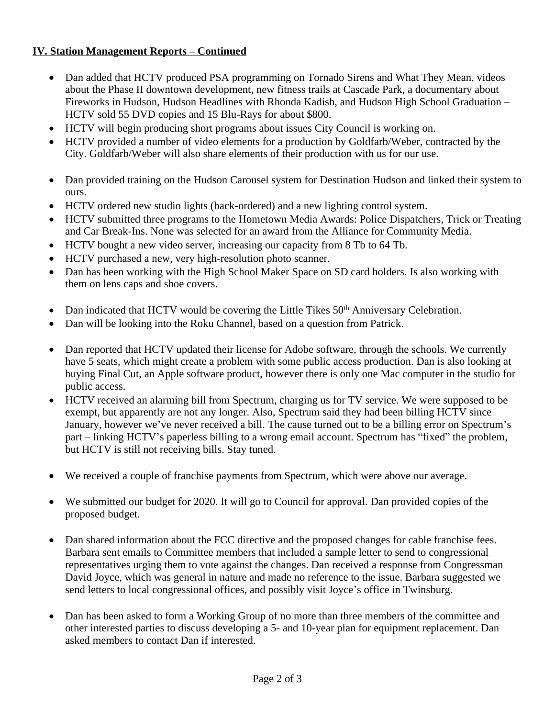## **IV. Station Management Reports – Continued**

- Dan added that HCTV produced PSA programming on Tornado Sirens and What They Mean, videos about the Phase II downtown development, new fitness trails at Cascade Park, a documentary about Fireworks in Hudson, Hudson Headlines with Rhonda Kadish, and Hudson High School Graduation – HCTV sold 55 DVD copies and 15 Blu-Rays for about \$800.
- HCTV will begin producing short programs about issues City Council is working on.
- HCTV provided a number of video elements for a production by Goldfarb/Weber, contracted by the City. Goldfarb/Weber will also share elements of their production with us for our use.
- Dan provided training on the Hudson Carousel system for Destination Hudson and linked their system to ours.
- HCTV ordered new studio lights (back-ordered) and a new lighting control system.
- HCTV submitted three programs to the Hometown Media Awards: Police Dispatchers, Trick or Treating and Car Break-Ins. None was selected for an award from the Alliance for Community Media.
- HCTV bought a new video server, increasing our capacity from 8 Tb to 64 Tb.
- HCTV purchased a new, very high-resolution photo scanner.
- Dan has been working with the High School Maker Space on SD card holders. Is also working with them on lens caps and shoe covers.
- Dan indicated that HCTV would be covering the Little Tikes 50<sup>th</sup> Anniversary Celebration.
- Dan will be looking into the Roku Channel, based on a question from Patrick.
- Dan reported that HCTV updated their license for Adobe software, through the schools. We currently have 5 seats, which might create a problem with some public access production. Dan is also looking at buying Final Cut, an Apple software product, however there is only one Mac computer in the studio for public access.
- HCTV received an alarming bill from Spectrum, charging us for TV service. We were supposed to be exempt, but apparently are not any longer. Also, Spectrum said they had been billing HCTV since January, however we've never received a bill. The cause turned out to be a billing error on Spectrum's part – linking HCTV's paperless billing to a wrong email account. Spectrum has "fixed" the problem, but HCTV is still not receiving bills. Stay tuned.
- We received a couple of franchise payments from Spectrum, which were above our average.
- We submitted our budget for 2020. It will go to Council for approval. Dan provided copies of the proposed budget.
- Dan shared information about the FCC directive and the proposed changes for cable franchise fees. Barbara sent emails to Committee members that included a sample letter to send to congressional representatives urging them to vote against the changes. Dan received a response from Congressman David Joyce, which was general in nature and made no reference to the issue. Barbara suggested we send letters to local congressional offices, and possibly visit Joyce's office in Twinsburg.
- Dan has been asked to form a Working Group of no more than three members of the committee and other interested parties to discuss developing a 5- and 10-year plan for equipment replacement. Dan asked members to contact Dan if interested.